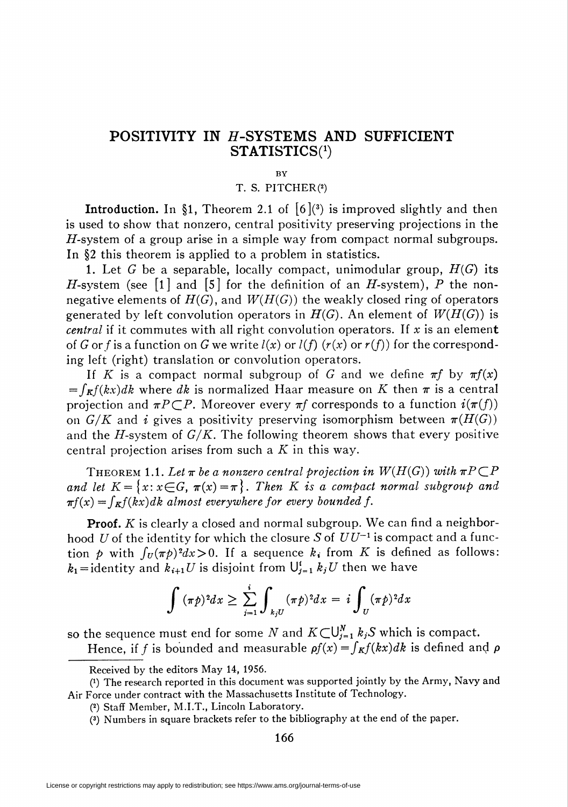## POSITIVITY IN H-SYSTEMS AND SUFFICIENT STATISTICS<sup>(1</sup>)

## BY

## T. S. PITCHER(2)

**Introduction.** In §1, Theorem 2.1 of  $[6]$ <sup>(3)</sup> is improved slightly and then is used to show that nonzero, central positivity preserving projections in the  $H$ -system of a group arise in a simple way from compact normal subgroups. In §2 this theorem is applied to a problem in statistics.

1. Let G be a separable, locally compact, unimodular group,  $H(G)$  its H-system (see [1] and [5] for the definition of an H-system), P the nonnegative elements of  $H(G)$ , and  $W(H(G))$  the weakly closed ring of operators generated by left convolution operators in  $H(G)$ . An element of  $W(H(G))$  is *central* if it commutes with all right convolution operators. If x is an element of G or f is a function on G we write  $l(x)$  or  $l(f)$  ( $r(x)$  or  $r(f)$ ) for the corresponding left (right) translation or convolution operators.

If K is a compact normal subgroup of G and we define  $\pi f$  by  $\pi f(x)$  $=\int_{\mathbf{R}} f(kx)dk$  where dk is normalized Haar measure on K then  $\pi$  is a central projection and  $\pi P \subset P$ . Moreover every  $\pi f$  corresponds to a function  $i(\pi(f))$ on  $G/K$  and *i* gives a positivity preserving isomorphism between  $\pi(H(G))$ and the  $H$ -system of  $G/K$ . The following theorem shows that every positive central projection arises from such a  $K$  in this way.

THEOREM 1.1. Let  $\pi$  be a nonzero central projection in  $W(H(G))$  with  $\pi P \subset P$ and let  $K = \{x : x \in G, \pi(x) = \pi\}$ . Then K is a compact normal subgroup and  $\pi f(x) = \int_K f(kx)dk$  almost everywhere for every bounded f.

Proof. K is clearly a closed and normal subgroup. We can find a neighborhood U of the identity for which the closure S of  $UU^{-1}$  is compact and a function p with  $\int_U (\pi \phi)^2 dx > 0$ . If a sequence  $k_i$  from K is defined as follows:  $k_1 =$  identity and  $k_{i+1}U$  is disjoint from  $\bigcup_{i=1}^{i} k_iU$  then we have

$$
\int (\pi p)^2 dx \geq \sum_{j=1}^i \int_{k_j U} (\pi p)^2 dx = i \int_U (\pi p)^2 dx
$$

so the sequence must end for some N and  $K\subset U_{i=1}^N k_iS$  which is compact.

Hence, if f is bounded and measurable  $\rho f(x) = \int_K f(kx)dk$  is defined and  $\rho$ 

166

Received by the editors May 14, 1956.

<sup>(!)</sup> The research reported in this document was supported jointly by the Army, Navy and Air Force under contract with the Massachusetts Institute of Technology.

<sup>(2)</sup> Staff Member, M.I.T., Lincoln Laboratory.

<sup>(3)</sup> Numbers in square brackets refer to the bibliography at the end of the paper.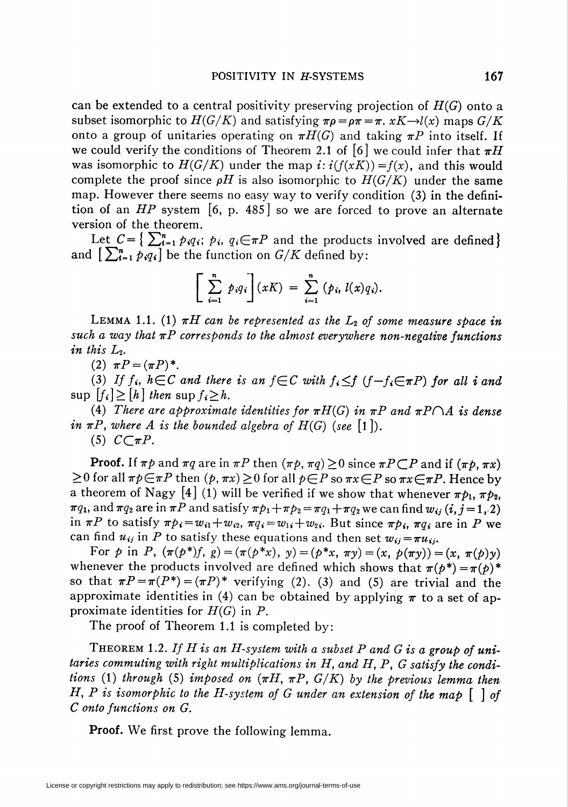can be extended to a central positivity preserving projection of  $H(G)$  onto a subset isomorphic to  $H(G/K)$  and satisfying  $\pi \rho = \rho \pi = \pi$ .  $xK \rightarrow l(x)$  maps  $G/K$ onto a group of unitaries operating on  $\pi H(G)$  and taking  $\pi P$  into itself. If we could verify the conditions of Theorem 2.1 of [6] we could infer that  $\pi H$ was isomorphic to  $H(G/K)$  under the map  $i: i(f(xK)) = f(x)$ , and this would complete the proof since  $\rho H$  is also isomorphic to  $H(G/K)$  under the same map. However there seems no easy way to verify condition (3) in the definition of an  $HP$  system [6, p. 485] so we are forced to prove an alternate version of the theorem.

Let  $C = \left\{ \sum_{i=1}^n p_i q_i; p_i, q_i \in \pi P \right\}$  and the products involved are defined and  $\left[\sum_{i=1}^n p_i q_i\right]$  be the function on  $G/K$  defined by:

$$
\left[\sum_{i=1}^n p_i q_i\right](xK) = \sum_{i=1}^n (p_i, l(x)q_i).
$$

LEMMA 1.1. (1)  $\pi H$  can be represented as the  $L_2$  of some measure space in such a way that  $\pi P$  corresponds to the almost everywhere non-negative functions in this  $L_2$ .

(2)  $\pi P = (\pi P)^*$ .

(3) If  $f_i$ ,  $h \in \mathbb{C}$  and there is an  $f \in \mathbb{C}$  with  $f_i \leq f$   $(f - f_i \in \pi \mathbb{P})$  for all i and  $\sup$   $f_i \geq h$  then  $\sup f_i \geq h$ .

(4) There are approximate identities for  $\pi H(G)$  in  $\pi P$  and  $\pi P \cap A$  is dense in  $\pi P$ , where A is the bounded algebra of  $H(G)$  (see [1]).  $(5)$   $C \subset \pi P$ .

**Proof.** If  $\pi p$  and  $\pi q$  are in  $\pi P$  then  $(\pi p, \pi q) \ge 0$  since  $\pi P \subset P$  and if  $(\pi p, \pi x)$  $\geq$ 0 for all  $\pi p \in \pi P$  then  $(p, \pi x) \geq 0$  for all  $p \in P$  so  $\pi x \in P$  so  $\pi x \in \pi P$ . Hence by a theorem of Nagy [4] (1) will be verified if we show that whenever  $\pi p_1$ ,  $\pi p_2$ ,  $\pi q_1$ , and  $\pi q_2$  are in  $\pi P$  and satisfy  $\pi p_1+\pi p_2=\pi q_1+\pi q_2$  we can find  $w_{ij}$   $(i, j = 1, 2)$ in  $\pi P$  to satisfy  $\pi \rho_i = w_{i1} + w_{i2}$ ,  $\pi q_i = w_{1i} + w_{2i}$ . But since  $\pi \rho_i$ ,  $\pi q_i$  are in P we can find  $u_{ij}$  in P to satisfy these equations and then set  $w_{ij} = \pi u_{ij}$ .

For p in P,  $(\pi(p^*)f, g) = (\pi(p^*x), y) = (p^*x, \pi y) = (x, p(\pi y)) = (x, \pi(p)y)$ whenever the products involved are defined which shows that  $\pi(p^*) = \pi(p)^*$ so that  $\pi P = \pi(P^*) = (\pi P)^*$  verifying (2). (3) and (5) are trivial and the approximate identities in (4) can be obtained by applying  $\pi$  to a set of approximate identities for  $H(G)$  in P.

The proof of Theorem 1.1 is completed by:

THEOREM 1.2. If H is an H-system with a subset P and G is a group of unitaries commuting with right multiplications in H, and H, P, G satisfy the conditions (1) through (5) imposed on  $(\pi H, \pi P, G/K)$  by the previous lemma then H, P is isomorphic to the H-system of G under an extension of the map  $\lceil \ \rceil$  of C onto functions on G.

Proof. We first prove the following lemma.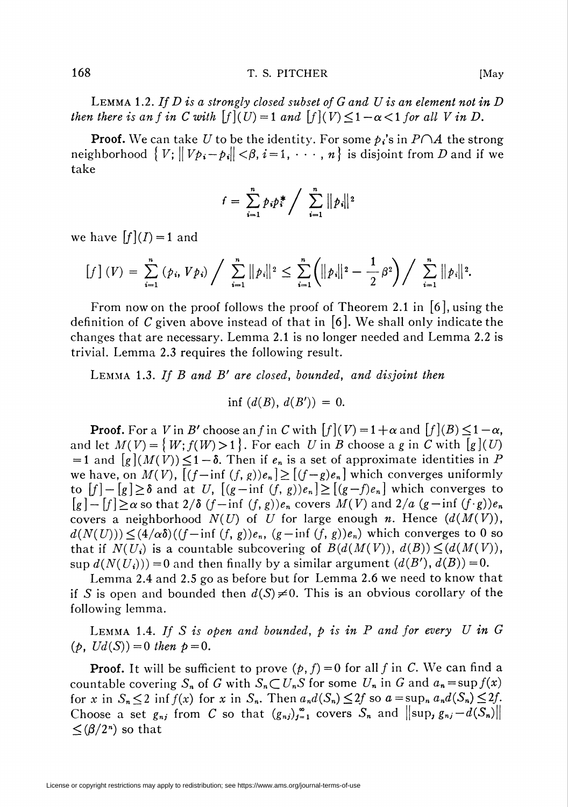LEMMA 1.2. If  $D$  is a strongly closed subset of  $G$  and  $U$  is an element not in  $D$ then there is an f in C with  $[f](U) = 1$  and  $[f](V) \leq 1 - \alpha < 1$  for all V in D.

**Proof.** We can take U to be the identity. For some  $p_i$ 's in  $P \cap A$  the strong neighborhood  $\{V; ||V_{p_i} - p_i|| < \beta, i = 1, \dots, n\}$  is disjoint from D and if we take

$$
f = \sum_{i=1}^{n} p_i p_i^* / \sum_{i=1}^{n} ||p_i||^2
$$

we have  $[f](I) = 1$  and

$$
\left[f\right](V) = \sum_{i=1}^{n} (p_i, Vp_i) / \sum_{i=1}^{n} ||p_i||^2 \leq \sum_{i=1}^{n} (||p_i||^2 - \frac{1}{2}\beta^2) / \sum_{i=1}^{n} ||p_i||^2.
$$

From now on the proof follows the proof of Theorem 2.1 in  $\vert 6 \vert$ , using the definition of C given above instead of that in  $[6]$ . We shall only indicate the changes that are necessary. Lemma 2.1 is no longer needed and Lemma 2.2 is trivial. Lemma 2.3 requires the following result.

LEMMA 1.3. If B and B' are closed, bounded, and disjoint then

$$
\inf\, (d(B),\, d(B'))\,=\,0.
$$

**Proof.** For a V in B' choose an f in C with  $[f](V) = 1 + \alpha$  and  $[f](B) \leq 1 - \alpha$ , and let  $M(V) = \{W; f(W) > 1\}$ . For each U in B choose a g in C with  $[g](U)$  $= 1$  and  $[g](M(V)) \leq 1-\delta$ . Then if  $e_n$  is a set of approximate identities in P we have, on  $M(V)$ ,  $[(f - inf (f, g))e_n] \ge [(f - g)e_n]$  which converges uniformly to  $[f] - [g] \ge \delta$  and at U,  $[(g - \inf (f, g))e_n] \ge [(g - f)e_n]$  which converges to  $\lceil g \rceil - \lceil f \rceil \ge \alpha$  so that  $2/\delta$   $(f-\inf(f,g))e_n$  covers  $M(V)$  and  $2/a$   $(g-\inf(f,g))e_n$ covers a neighborhood  $N(U)$  of U for large enough n. Hence  $(d(M(V)),$  $d(N(U)) \leq (4/\alpha \delta)((f-\inf (f, g))e_n, (g-\inf (f, g))e_n)$  which converges to 0 so that if  $N(U_i)$  is a countable subcovering of  $B(d(M(V)), d(B)) \leq (d(M(V)),$ sup  $d(N(U_i))) = 0$  and then finally by a similar argument  $(d(B'), d(B)) = 0$ .

Lemma 2.4 and 2.5 go as before but for Lemma 2.6 we need to know that if S is open and bounded then  $d(S) \neq 0$ . This is an obvious corollary of the following lemma.

LEMMA 1.4. If S is open and bounded,  $p$  is in  $P$  and for every  $U$  in  $G$  $(p, Ud(S)) = 0$  then  $p = 0$ .

**Proof.** It will be sufficient to prove  $(p, f) = 0$  for all f in C. We can find a countable covering  $S_n$  of G with  $S_n\subset U_nS$  for some  $U_n$  in G and  $a_n=\sup f(x)$ for x in  $S_n \leq 2$  inf  $f(x)$  for x in  $S_n$ . Then  $a_n d(S_n) \leq 2f$  so  $a = \sup_n a_n d(S_n) \leq 2f$ . Choose a set  $g_{nj}$  from C so that  $(g_{nj})_{j=1}^{\infty}$  covers  $S_n$  and  $\| \sup_j g_{nj} - d(S_n) \|$  $\leq (\beta/2^n)$  so that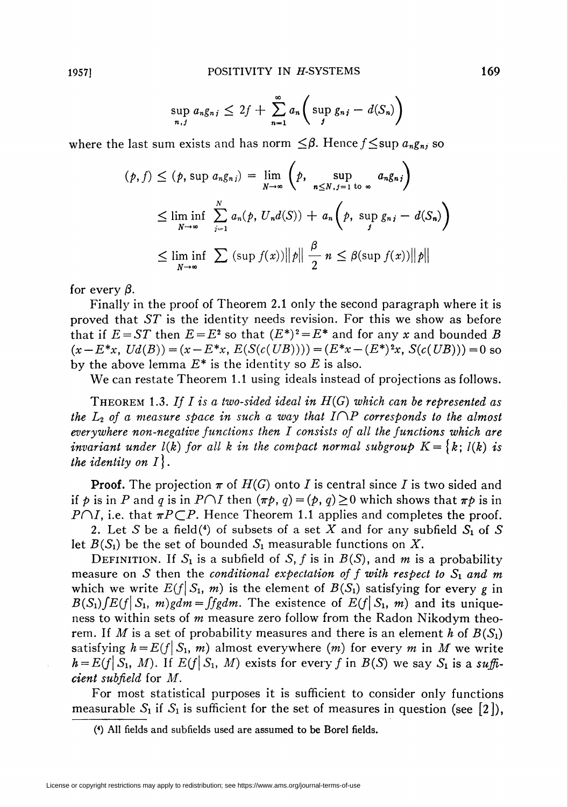$$
\sup_{n,j} a_n g_{nj} \leq 2f + \sum_{n=1}^{\infty} a_n \bigg( \sup_j g_{nj} - d(S_n) \bigg)
$$

where the last sum exists and has norm  $\leq \beta$ . Hence  $f \leq \sup a_n g_n$  so

$$
(p, f) \le (p, \sup a_n g_{n,j}) = \lim_{N \to \infty} \left( p, \sup_{n \le N, j=1 \text{ to } \infty} a_n g_{n,j} \right)
$$
  

$$
\le \liminf_{N \to \infty} \sum_{j=1}^N a_n(p, U_n d(S)) + a_n \left( p, \sup_{j} g_{n,j} - d(S_n) \right)
$$
  

$$
\le \liminf_{N \to \infty} \sum (\sup f(x)) ||p|| \frac{\beta}{2} n \le \beta (\sup f(x)) ||p||
$$

for every  $\beta$ .

Finally in the proof of Theorem 2.1 only the second paragraph where it is proved that ST is the identity needs revision. For this we show as before that if  $E = ST$  then  $E = E^2$  so that  $(E^*)^2 = E^*$  and for any x and bounded B  $(x - E^*x, Ud(B)) = (x - E^*x, E(S(c(UB)))) = (E^*x - (E^*)^2x, S(c(UB))) = 0$  so by the above lemma  $E^*$  is the identity so E is also.

We can restate Theorem 1.1 using ideals instead of projections as follows.

THEOREM 1.3. If I is a two-sided ideal in  $H(G)$  which can be represented as the  $L_2$  of a measure space in such a way that  $I\cap P$  corresponds to the almost everywhere non-negative functions then I consists of all the functions which are invariant under  $l(k)$  for all k in the compact normal subgroup  $K=\{k; l(k)$  is the identity on  $I$ .

**Proof.** The projection  $\pi$  of  $H(G)$  onto I is central since I is two sided and if p is in P and q is in  $P \cap I$  then  $(\pi p, q) = (p, q) \ge 0$  which shows that  $\pi p$  is in  $P\cap I$ , i.e. that  $\pi P\subset P$ . Hence Theorem 1.1 applies and completes the proof.

2. Let S be a field(4) of subsets of a set X and for any subfield  $S_1$  of S let  $B(S_1)$  be the set of bounded  $S_1$  measurable functions on X.

DEFINITION. If  $S_1$  is a subfield of S, f is in  $B(S)$ , and m is a probability measure on S then the conditional expectation of f with respect to  $S_1$  and m which we write  $E(f|S_1, m)$  is the element of  $B(S_1)$  satisfying for every g in  $B(S_1)$   $\int E(f|\mathcal{S}_1, m)g dm = \int f g dm$ . The existence of  $E(f|\mathcal{S}_1, m)$  and its uniqueness to within sets of  $m$  measure zero follow from the Radon Nikodym theorem. If M is a set of probability measures and there is an element h of  $B(S_1)$ satisfying  $h = E(f|S_1, m)$  almost everywhere (m) for every m in M we write  $h = E(f| S_1, M)$ . If  $E(f| S_1, M)$  exists for every f in  $B(S)$  we say  $S_1$  is a sufficient subfield for M.

For most statistical purposes it is sufficient to consider only functions measurable  $S_1$  if  $S_1$  is sufficient for the set of measures in question (see [2]),

<sup>(4)</sup> All fields and subfields used are assumed to be Borel fields.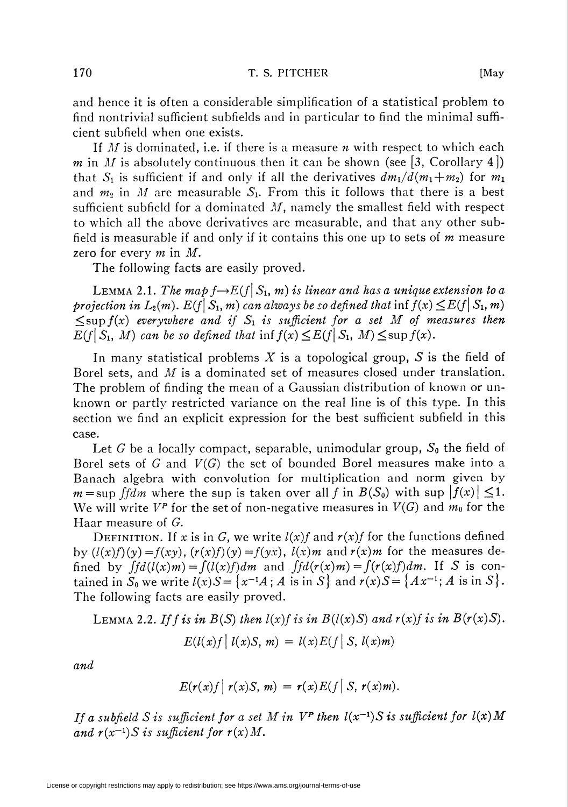and hence it is often a considerable simplification of a statistical problem to find nontrivial sufficient subfields and in particular to find the minimal sufficient subfield when one exists.

If  $M$  is dominated, i.e. if there is a measure  $n$  with respect to which each m in M is absolutely continuous then it can be shown (see [3, Corollary 4]) that  $S_1$  is sufficient if and only if all the derivatives  $dm_1/d(m_1+m_2)$  for  $m_1$ and  $m_2$  in M are measurable  $S_1$ . From this it follows that there is a best sufficient subfield for a dominated  $M$ , namely the smallest field with respect to which all the above derivatives are measurable, and that any other subfield is measurable if and only if it contains this one up to sets of  $m$  measure zero for every  $m$  in  $M$ .

The following facts are easily proved.

LEMMA 2.1. The map  $f \rightarrow E(f|S_1, m)$  is linear and has a unique extension to a projection in  $L_2(m)$ .  $E(f| S_1, m)$  can always be so defined that inf  $f(x) \leq E(f| S_1, m)$  $\leq$ sup  $f(x)$  everywhere and if  $S_1$  is sufficient for a set M of measures then  $E(f\,|\,S_1, M)$  can be so defined that inff(x)  $\leq E(f\,|\,S_1, M) \leq \sup f(x)$ .

In many statistical problems X is a topological group, S is the field of Borel sets, and M is a dominated set of measures closed under translation. The problem of finding the mean of a Gaussian distribution of known or unknown or partly restricted variance on the real line is of this type. In this section we find an explicit expression for the best sufficient subfield in this case.

Let G be a locally compact, separable, unimodular group,  $S_0$  the field of Borel sets of  $G$  and  $V(G)$  the set of bounded Borel measures make into a Banach algebra with convolution for multiplication and norm given by  $m = \sup \{f \mid dm$  where the sup is taken over all f in  $B(S_0)$  with sup  $\left|f(x)\right| \leq 1$ . We will write  $V^p$  for the set of non-negative measures in  $V(G)$  and  $m_0$  for the Haar measure of G.

DEFINITION. If x is in G, we write  $l(x)f$  and  $r(x)f$  for the functions defined by  $(l(x)f)(y) = f(xy)$ ,  $(r(x)f)(y) = f(yx)$ ,  $l(x)m$  and  $r(x)m$  for the measures defined by  $\int f d(l(x))m = \int (l(x)f)dm$  and  $\int f d(r(x))m = \int (r(x)f)dm$ . If S is contained in  $S_0$  we write  $l(x)S = \{x^{-1}A; A \text{ is in } S\}$  and  $r(x)S = \{Ax^{-1}; A \text{ is in } S\}.$ The following facts are easily proved.

LEMMA 2.2. If f is in  $B(S)$  then  $l(x)$  f is in  $B(l(x)S)$  and  $r(x)$  f is in  $B(r(x)S)$ .  $E(l(x)f\,|\,l(x)S, m) = l(x)E(f\,|\,S, l(x)m)$ 

and

$$
E(r(x)f\mid r(x)S, m) = r(x)E(f\mid S, r(x)m).
$$

If a subfield S is sufficient for a set M in  $V^P$  then  $l(x^{-1})S$  is sufficient for  $l(x)M$ and  $r(x^{-1})S$  is sufficient for  $r(x)M$ .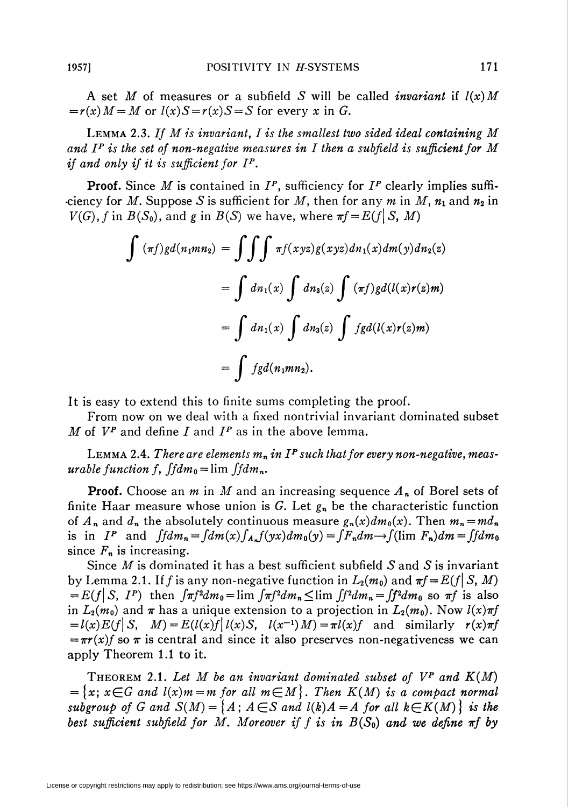A set M of measures or a subfield S will be called *invariant* if  $l(x)$  M  $=r(x)M = M$  or  $l(x)S = r(x)S = S$  for every x in G.

LEMMA 2.3. If  $M$  is invariant,  $I$  is the smallest two sided ideal containing  $M$ and I<sup>P</sup> is the set of non-negative measures in I then a subfield is sufficient for M if and only if it is sufficient for  $I^P$ .

**Proof.** Since M is contained in  $I^P$ , sufficiency for  $I^P$  clearly implies suffi--ciency for M. Suppose S is sufficient for M, then for any m in M,  $n_1$  and  $n_2$  in  $V(G)$ , f in  $B(S_0)$ , and g in  $B(S)$  we have, where  $\pi f = E(f|S, M)$ 

$$
\int (\pi f)gd(n_1mn_2) = \iiint \pi f(xyz)g(xyz)dn_1(x)dm(y)dn_2(z)
$$

$$
= \int dn_1(x) \int dn_3(z) \int (\pi f)gd(l(x)r(z)m)
$$

$$
= \int dn_1(x) \int dn_3(z) \int fgd(l(x)r(z)m)
$$

$$
= \int fgd(n_1mn_2).
$$

It is easy to extend this to finite sums completing the proof.

From now on we deal with a fixed nontrivial invariant dominated subset M of  $V^p$  and define I and  $I^p$  as in the above lemma.

LEMMA 2.4. There are elements  $m_n$  in  $I^P$  such that for every non-negative, measurable function f,  $fdm_0 = \lim f/dm_n$ .

**Proof.** Choose an *m* in *M* and an increasing sequence  $A_n$  of Borel sets of finite Haar measure whose union is G. Let  $g_n$  be the characteristic function of  $A_n$  and  $d_n$  the absolutely continuous measure  $g_n(x) dm_0(x)$ . Then  $m_n=md_n$ is in  $I^P$  and  $\int f dm_n = \int dm(x) \int_{A_n} f(yx) dm_0(y) = \int F_n dm \rightarrow (\lim F_n) dm = \int f dm_0$ since  $F_n$  is increasing.

Since  $M$  is dominated it has a best sufficient subfield  $S$  and  $S$  is invariant by Lemma 2.1. If f is any non-negative function in  $L_2(m_0)$  and  $\pi f = E(f|S, M)$  $= E(f|S, I^P)$  then  $\int \pi f^2 dm_0 = \lim \int \pi f^2 dm_n \leq \lim \int f^2 dm_n = \int f^2 dm_0$  so  $\pi f$  is also in  $L_2(m_0)$  and  $\pi$  has a unique extension to a projection in  $L_2(m_0)$ . Now  $l(x)\pi f$  $= l(x)E(f\vert S, M) = E(l(x)f\vert l(x)S, l(x^{-1})M) = \pi l(x)f$  and similarly  $r(x)\pi f$  $\overline{r} = \pi r(x)$  so  $\pi$  is central and since it also preserves non-negativeness we can apply Theorem 1.1 to it.

THEOREM 2.1. Let M be an invariant dominated subset of  $V^P$  and  $K(M)$  $=\{x;\,x\in G \text{ and } l(x)m=m \text{ for all } m\in M\}$ . Then  $K(M)$  is a compact normal subgroup of G and  $S(M) = \{A; A \in S \text{ and } l(k)A = A \text{ for all } k \in K(M) \}$  is the best sufficient subfield for M. Moreover if f is in  $B(S_0)$  and we define  $\pi f$  by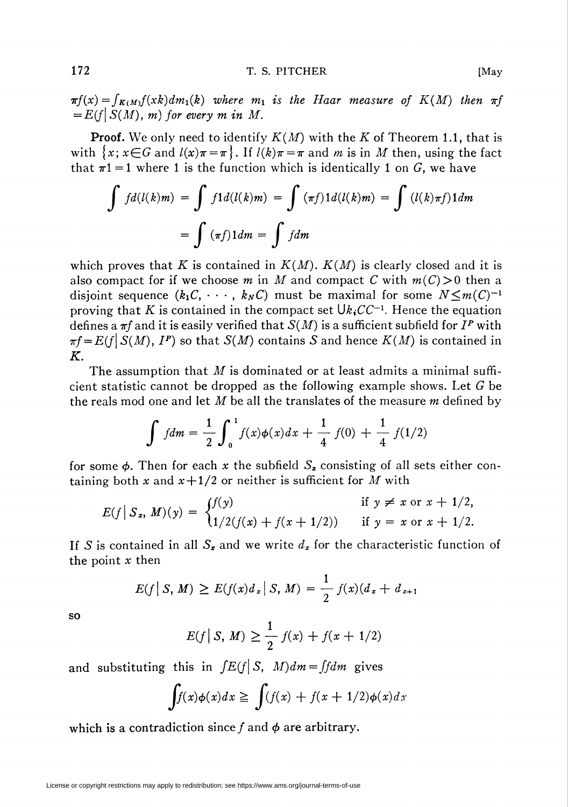$\pi f(x) = \int_{K(M)} f(xk) dm_1(k)$  where  $m_1$  is the Haar measure of  $K(M)$  then  $\pi f$  $=E(f|S(M), m)$  for every m in M.

**Proof.** We only need to identify  $K(M)$  with the K of Theorem 1.1, that is with  $\{x; x \in G \text{ and } l(x)\pi = \pi\}$ . If  $l(k)\pi = \pi$  and m is in M then, using the fact that  $\pi$ 1 = 1 where 1 is the function which is identically 1 on G, we have

$$
\int f d(l(k)m) = \int f 1 d(l(k)m) = \int (\pi f) 1 d(l(k)m) = \int (l(k)\pi f) 1 dm
$$

$$
= \int (\pi f) 1 dm = \int f dm
$$

which proves that K is contained in  $K(M)$ .  $K(M)$  is clearly closed and it is also compact for if we choose m in M and compact C with  $m(C) > 0$  then a disjoint sequence  $(k_1C, \dots, k_NC)$  must be maximal for some  $N \leq m(C)^{-1}$ proving that K is contained in the compact set  $\bigcup k_iCC^{-1}$ . Hence the equation defines a  $\pi f$  and it is easily verified that  $S(M)$  is a sufficient subfield for  $I^P$  with  $\pi f = E(f|S(M), I^P)$  so that  $S(M)$  contains S and hence  $K(M)$  is contained in K.

The assumption that  $M$  is dominated or at least admits a minimal sufficient statistic cannot be dropped as the following example shows. Let G be the reals mod one and let M be all the translates of the measure  $m$  defined by

$$
\int f dm = \frac{1}{2} \int_0^1 f(x) \phi(x) dx + \frac{1}{4} f(0) + \frac{1}{4} f(1/2)
$$

for some  $\phi$ . Then for each x the subfield  $S<sub>x</sub>$  consisting of all sets either containing both x and  $x + \frac{1}{2}$  or neither is sufficient for M with

$$
E(f \mid S_x, M)(y) = \begin{cases} f(y) & \text{if } y \neq x \text{ or } x + 1/2, \\ 1/2(f(x) + f(x + 1/2)) & \text{if } y = x \text{ or } x + 1/2. \end{cases}
$$

If S is contained in all  $S<sub>x</sub>$  and we write  $d<sub>x</sub>$  for the characteristic function of the point  $x$  then

$$
E(f|S, M) \ge E(f(x)d_x|S, M) = \frac{1}{2} f(x)(d_x + d_{x+1})
$$

so

$$
E(f \,|\, S, M) \ge \frac{1}{2} f(x) + f(x + 1/2)
$$

and substituting this in  $\int E(f|S, M) dm = \int f dm$  gives

$$
\int f(x)\phi(x)dx \ge \int (f(x) + f(x+1/2)\phi(x))dx
$$

which is a contradiction since f and  $\phi$  are arbitrary.